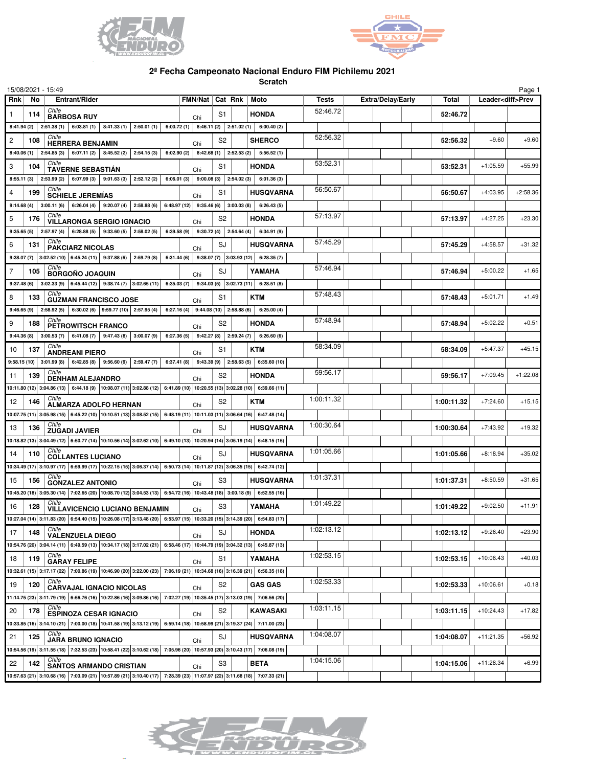



## **2ª Fecha Campeonato Nacional Enduro FIM Pichilemu 2021**

**Scratch**

| 15/08/2021 - 15:49<br>Page 1 |                                                                                                                                                                                                                               |                                         |                                                                                    |                                             |                |    |                                                            |                          |       |            |                          |            |
|------------------------------|-------------------------------------------------------------------------------------------------------------------------------------------------------------------------------------------------------------------------------|-----------------------------------------|------------------------------------------------------------------------------------|---------------------------------------------|----------------|----|------------------------------------------------------------|--------------------------|-------|------------|--------------------------|------------|
| Rnk<br>No                    | Entrant/Rider                                                                                                                                                                                                                 |                                         | FMN/Nat   Cat Rnk   Moto                                                           |                                             |                |    | <b>Tests</b>                                               | <b>Extra/Delay/Early</b> | Total |            | Leader <diff>Prev</diff> |            |
| 114<br>1.                    | Chile<br><b>BARBOSA RUY</b>                                                                                                                                                                                                   |                                         |                                                                                    |                                             |                | S1 | <b>HONDA</b>                                               | 52:46.72                 |       | 52:46.72   |                          |            |
| 8:41.94(2)                   | 2:51.38(1)                                                                                                                                                                                                                    | $6:03.81(1)$ 8:41.33(1) 2:50.01(1)      |                                                                                    | Chi<br>$6:00.72(1)$ 8:46.11 (2) 2:51.02 (1) |                |    | 6:00.40(2)                                                 |                          |       |            |                          |            |
| 2<br>108                     | Chile<br><b>HERRERA BENJAMIN</b>                                                                                                                                                                                              |                                         |                                                                                    | Chi                                         | S <sub>2</sub> |    | <b>SHERCO</b>                                              | 52:56.32                 |       | 52:56.32   | $+9.60$                  | $+9.60$    |
| $8:40.06(1)$ 2:54.85(3)      | $6:07.11(2)$ 8:45.52(2)                                                                                                                                                                                                       |                                         | 2:54.15(3)                                                                         | $6:02.90(2)$ 8:42.68(1) 2:52.53(2)          |                |    | 5:56.52(1)                                                 |                          |       |            |                          |            |
| 3<br>104                     | Chile<br>TAVERNE SEBASTIÁN                                                                                                                                                                                                    |                                         |                                                                                    | Chi                                         | S1             |    | <b>HONDA</b>                                               | 53:52.31                 |       | 53:52.31   | $+1:05.59$               | $+55.99$   |
| 8:55.11(3)                   | 2:53.99(2)<br>$6:07.99(3)$ 9:01.63(3)                                                                                                                                                                                         |                                         | 2:52.12(2)                                                                         | $6.06.01(3)$ 9.00.08 (3) 2.54.02 (3)        |                |    | 6:01.36(3)                                                 |                          |       |            |                          |            |
| 199<br>4                     | Chile<br><b>SCHIELE JEREMÍAS</b>                                                                                                                                                                                              |                                         |                                                                                    | Chi                                         | S1             |    | <b>HUSQVARNA</b>                                           | 56:50.67                 |       | 56:50.67   | $+4:03.95$               | $+2:58.36$ |
| 9:14.68(4)                   | 3:00.11(6)                                                                                                                                                                                                                    |                                         | 6:26.04 (4)   9:20.07 (4)   2:58.88 (6)   6:48.97 (12)   9:35.46 (6)   3:00.03 (8) |                                             |                |    | 6:26.43(5)                                                 |                          |       |            |                          |            |
| 5<br>176                     | Chile<br><b>VILLARONGA SERGIO IGNACIO</b>                                                                                                                                                                                     |                                         |                                                                                    | Chi                                         | S <sub>2</sub> |    | <b>HONDA</b>                                               | 57:13.97                 |       | 57:13.97   | $+4:27.25$               | $+23.30$   |
| 9:35.65(5)                   | 2:57.97(4)<br>$6:28.88(5)$ 9:33.60(5)                                                                                                                                                                                         |                                         | 2:58.02(5)                                                                         | 6:39.58 (9) 9:30.72 (4) 2:54.64 (4)         |                |    | 6:34.91(9)                                                 |                          |       |            |                          |            |
| 6<br>131                     | Chile<br>PAKCIARZ NICOLAS                                                                                                                                                                                                     |                                         |                                                                                    |                                             | SJ             |    | <b>HUSQVARNA</b>                                           | 57:45.29                 |       | 57:45.29   | $+4:58.57$               | $+31.32$   |
|                              | 9:38.07 (7) 3:02.52 (10) 6:45.24 (11) 9:37.88 (6) 2:59.79 (8)                                                                                                                                                                 |                                         |                                                                                    | Chi                                         |                |    | 6:31.44 (6)   9:38.07 (7)   3:03.93 (12)   6:28.35 (7)     |                          |       |            |                          |            |
| 7<br>105                     | Chile<br><b>BORGOÑO JOAQUIN</b>                                                                                                                                                                                               |                                         |                                                                                    |                                             | SJ             |    | YAMAHA                                                     | 57:46.94                 |       | 57:46.94   | $+5:00.22$               | $+1.65$    |
| 9:37.48(6)                   | $3:02.33(9)$ 6:45.44 (12) 9:38.74 (7) 3:02.65 (11)                                                                                                                                                                            |                                         |                                                                                    | Chi<br>6:35.03 (7) 9:34.03 (5) 3:02.73 (11) |                |    | 6:28.51(8)                                                 |                          |       |            |                          |            |
| 8<br>133                     | Chile                                                                                                                                                                                                                         |                                         |                                                                                    |                                             | S1             |    | <b>KTM</b>                                                 | 57:48.43                 |       | 57:48.43   | $+5:01.71$               | $+1.49$    |
| 9:46.65(9)                   | <b>GUZMAN FRANCISCO JOSE</b><br>2:58.92(5)                                                                                                                                                                                    | $6:30.02(6)$ 9:59.77 (10) 2:57.95 (4)   |                                                                                    | Chi<br>6:27.16 (4) 9:44.08 (10) 2:58.88 (6) |                |    | 6:25.00(4)                                                 |                          |       |            |                          |            |
|                              |                                                                                                                                                                                                                               |                                         |                                                                                    |                                             |                |    |                                                            | 57:48.94                 |       |            |                          |            |
| 9<br>188                     | Chile<br>PETROWITSCH FRANCO                                                                                                                                                                                                   |                                         |                                                                                    | Chi                                         | S <sub>2</sub> |    | <b>HONDA</b>                                               |                          |       | 57:48.94   | $+5:02.22$               | $+0.51$    |
| 9:44.36(8)                   | 3:00.53(7)<br>Chile                                                                                                                                                                                                           | 6:41.08 (7)   9:47.43 (8)   3:00.07 (9) |                                                                                    | $6:27.36(5)$ 9:42.27(8) 2:59.24(7)          |                |    | 6:26.60(6)                                                 | 58:34.09                 |       |            |                          |            |
| 10<br>137                    | <b>ANDREANI PIERO</b>                                                                                                                                                                                                         |                                         |                                                                                    | Chi                                         | S1             |    | <b>KTM</b>                                                 |                          |       | 58:34.09   | $+5:47.37$               | $+45.15$   |
| $9:58.15(10)$ 3:01.99(8)     |                                                                                                                                                                                                                               | $6:42.85(8)$ 9:56.60(9) 2:59.47(7)      |                                                                                    |                                             |                |    | $6:37.41(8)$   $9:43.39(9)$   $2:58.63(5)$   $6:35.60(10)$ |                          |       |            |                          |            |
| 139<br>11                    | Chile<br><b>DENHAM ALEJANDRO</b>                                                                                                                                                                                              |                                         |                                                                                    | Chi                                         | S <sub>2</sub> |    | <b>HONDA</b>                                               | 59:56.17                 |       | 59:56.17   | $+7:09.45$               | $+1:22.08$ |
|                              | $10:11.80$ (12) $3:04.86$ (13) $ $ 6:44.18 (9) $ 10:08.07$ (11) $3:02.88$ (12) $ $ 6:41.89 (10) $ 10:20.55$ (13) $ 3:02.28$ (10) $ $ 6:39.66 (11)                                                                             |                                         |                                                                                    |                                             |                |    |                                                            |                          |       |            |                          |            |
| 12<br>146                    | Chile<br><b>ALMARZA ADOLFO HERNAN</b>                                                                                                                                                                                         |                                         |                                                                                    | Chi                                         | S <sub>2</sub> |    | <b>KTM</b>                                                 | 1:00:11.32               |       | 1:00:11.32 | $+7:24.60$               | $+15.15$   |
|                              | $10:07.75$ (11) $3:05.98$ (15) $6:45.22$ (10) $10:10.51$ (13) $3:08.52$ (15) $6:48.19$ (11) $10:11.03$ (11) $3:06.64$ (16) $6:47.48$ (14)                                                                                     |                                         |                                                                                    |                                             |                |    |                                                            |                          |       |            |                          |            |
| 136<br>13                    | Chile<br><b>ZUGADI JAVIER</b>                                                                                                                                                                                                 |                                         |                                                                                    | Chi                                         | SJ             |    | <b>HUSQVARNA</b>                                           | 1:00:30.64               |       | 1:00:30.64 | $+7:43.92$               | $+19.32$   |
|                              | 10:18.82 (13) 3:04.49 (12) 6:50.77 (14) 10:10.56 (14) 3:02.62 (10) 6:49.10 (13) 10:20.94 (14) 3:05.19 (14) 6:48.15 (15)                                                                                                       |                                         |                                                                                    |                                             |                |    |                                                            |                          |       |            |                          |            |
| 110<br>14                    | Chile<br><b>COLLANTES LUCIANO</b>                                                                                                                                                                                             |                                         |                                                                                    | Chi                                         | SJ             |    | <b>HUSQVARNA</b>                                           | 1:01:05.66               |       | 1:01:05.66 | $+8:18.94$               | $+35.02$   |
|                              | 0:34.49 (17) 3:10.97 (17) 6:59.99 (17) 10:22.15 (15) 3:06.37 (14) 6:50.73 (14) 10:11.87 (12) 3:06.35 (15) 6:42.74 (12)                                                                                                        |                                         |                                                                                    |                                             |                |    |                                                            |                          |       |            |                          |            |
| 156<br>15                    | Chile<br>GONZALEZ ANTONIO                                                                                                                                                                                                     |                                         |                                                                                    | Chi                                         | S3             |    | <b>HUSQVARNA</b>                                           | 1:01:37.31               |       | 1:01:37.31 | $+8:50.59$               | $+31.65$   |
|                              | 10:45.20 (18) 3:05.30 (14) 7:02.65 (20) 10:08.70 (12) 3:04.53 (13) 6:54.72 (16) 10:43.48 (18) 3:00.18 (9) 6:52.55 (16)                                                                                                        |                                         |                                                                                    |                                             |                |    |                                                            |                          |       |            |                          |            |
| 16<br>128                    | Chile<br><b>VILLAVICENCIO LUCIANO BENJAMIN</b>                                                                                                                                                                                |                                         |                                                                                    |                                             | S3             |    | YAMAHA                                                     | 1:01:49.22               |       | 1:01:49.22 | $+9:02.50$               | $+11.91$   |
|                              | 10:27.04 (14) 3:11.83 (20) 6:54.40 (15) 10:26.08 (17) 3:13.48 (20) 6:53.97 (15) 10:33.20 (15) 3:14.39 (20) 6:54.83 (17) 3:14.39 (20) 6:54.83 (17) 3:14.39 (20) 6:54.83 (17) 5:14.39 (20) 5:54.83 (17) 5:14.39 (20) 5:54.83 (1 |                                         |                                                                                    | Chi                                         |                |    |                                                            |                          |       |            |                          |            |
| 148<br>17                    | Chile                                                                                                                                                                                                                         |                                         |                                                                                    |                                             | SJ             |    | <b>HONDA</b>                                               | 1:02:13.12               |       | 1:02:13.12 | $+9:26.40$               | $+23.90$   |
|                              | <b>VALENZUELA DIEGO</b><br>10:54.76 (20) 3:04.14 (11) 6:49.59 (13) 10:34.17 (18) 3:17.02 (21) 6:58.46 (17) 10:44.79 (19) 3:04.32 (13) 6:45.87 (13)                                                                            |                                         |                                                                                    | Chi                                         |                |    |                                                            |                          |       |            |                          |            |
| 18<br>119                    | Chile                                                                                                                                                                                                                         |                                         |                                                                                    |                                             | S <sub>1</sub> |    | YAMAHA                                                     | 1:02:53.15               |       | 1:02:53.15 | $+10:06.43$              | $+40.03$   |
|                              | <b>GARAY FELIPE</b><br>10:32.61 (15) 3:17.17 (22) 7:00.86 (19) 10:46.90 (20) 3:22.00 (23) 7:06.19 (21) 10:34.68 (16) 3:16.39 (21) 6:56.35 (18)                                                                                |                                         |                                                                                    | Chi                                         |                |    |                                                            |                          |       |            |                          |            |
|                              |                                                                                                                                                                                                                               |                                         |                                                                                    |                                             |                |    |                                                            | 1:02:53.33               |       |            |                          | $+0.18$    |
| 19<br>120                    | Chile<br>CARVAJAL IGNACIO NICOLAS                                                                                                                                                                                             |                                         |                                                                                    | Chi                                         | S <sub>2</sub> |    | <b>GAS GAS</b>                                             |                          |       | 1:02:53.33 | $+10:06.61$              |            |
|                              | 11:14.75 (23) 3:11.79 (19) 6:56.76 (16) 10:22.86 (16) 3:09.86 (16) 7:02.27 (19) 10:35.45 (17) 3:13.03 (19) 7:06.56 (20)                                                                                                       |                                         |                                                                                    |                                             |                |    |                                                            | 1:03:11.15               |       |            |                          |            |
| 20<br>178                    | Chile<br>ESPINOZA CESAR IGNACIO                                                                                                                                                                                               |                                         |                                                                                    | Chi                                         | S <sub>2</sub> |    | <b>KAWASAKI</b>                                            |                          |       | 1:03:11.15 | $+10:24.43$              | $+17.82$   |
|                              | 10:33.85 (16) 3:14.10 (21) 7:00.00 (18) 10:41.58 (19) 3:13.12 (19) 6:59.14 (18) 10:58.99 (21) 3:19.37 (24) 7:11.00 (23)                                                                                                       |                                         |                                                                                    |                                             |                |    |                                                            |                          |       |            |                          |            |
| 125<br>21                    | Chile<br><b>JARA BRUNO IGNACIO</b>                                                                                                                                                                                            |                                         |                                                                                    | Chi                                         | SJ             |    | <b>HUSQVARNA</b>                                           | 1:04:08.07               |       | 1:04:08.07 | $+11:21.35$              | $+56.92$   |
|                              | $10:54.56(19)$ $3:11.55(18)$ $7:32.53(23)$ $10:58.41(22)$ $3:10.62(18)$ $7:05.96(20)$ $10:57.93(20)$ $3:10.43(17)$ $7:06.08(19)$                                                                                              |                                         |                                                                                    |                                             |                |    |                                                            |                          |       |            |                          |            |
| 22<br>142                    | Chile<br><b>SANTOS ARMANDO CRISTIAN</b>                                                                                                                                                                                       |                                         |                                                                                    | Chi                                         | S <sub>3</sub> |    | <b>BETA</b>                                                | 1:04:15.06               |       | 1:04:15.06 | $+11:28.34$              | $+6.99$    |
|                              | 10:57.63 (21) 3:10.68 (16) 7:03.09 (21) 10:57.89 (21) 3:10.40 (17) 7:28.39 (23) 11:07.97 (22) 3:11.68 (18) 7:07.33 (21)                                                                                                       |                                         |                                                                                    |                                             |                |    |                                                            |                          |       |            |                          |            |